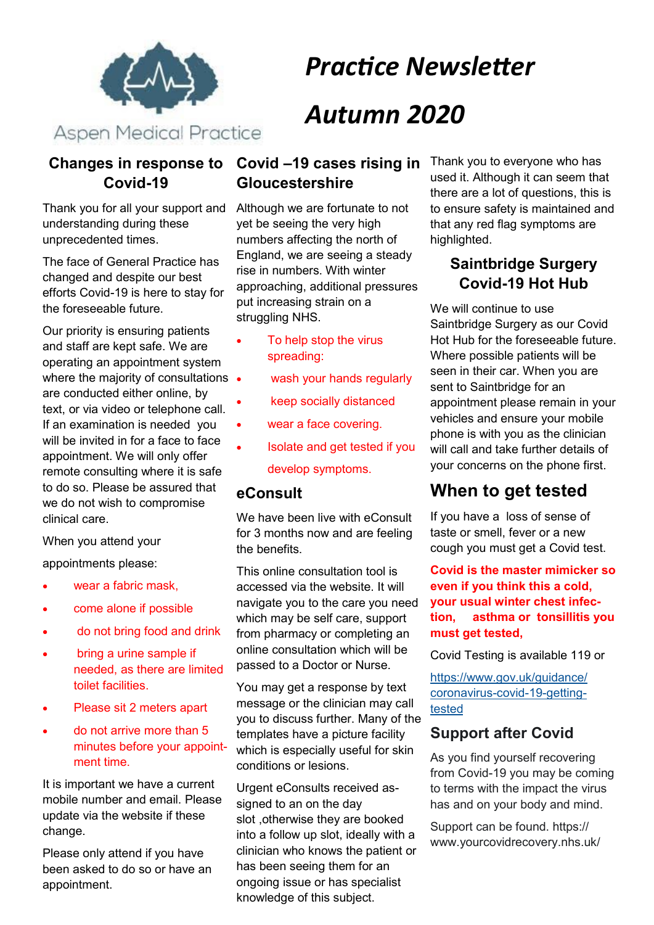

# *Practice Newsletter Autumn 2020*

## **Covid-19**

Thank you for all your support and understanding during these unprecedented times.

The face of General Practice has changed and despite our best efforts Covid-19 is here to stay for the foreseeable future.

Our priority is ensuring patients and staff are kept safe. We are operating an appointment system where the majority of consultations • are conducted either online, by text, or via video or telephone call. If an examination is needed you will be invited in for a face to face appointment. We will only offer remote consulting where it is safe to do so. Please be assured that we do not wish to compromise clinical care.

#### When you attend your

appointments please:

- wear a fabric mask.
- come alone if possible
- do not bring food and drink
- bring a urine sample if needed, as there are limited toilet facilities.
- Please sit 2 meters apart
- do not arrive more than 5 minutes before your appointment time.

It is important we have a current mobile number and email. Please update via the website if these change.

Please only attend if you have been asked to do so or have an appointment.

## **Changes in response to Covid -19 cases rising in Gloucestershire**

Although we are fortunate to not yet be seeing the very high numbers affecting the north of England, we are seeing a steady rise in numbers. With winter approaching, additional pressures put increasing strain on a struggling NHS.

- To help stop the virus spreading:
- wash your hands regularly
- keep socially distanced
- wear a face covering.
- Isolate and get tested if you develop symptoms.

#### **eConsult**

We have been live with eConsult for 3 months now and are feeling the benefits.

This online consultation tool is accessed via the website. It will navigate you to the care you need which may be self care, support from pharmacy or completing an online consultation which will be passed to a Doctor or Nurse.

You may get a response by text message or the clinician may call you to discuss further. Many of the templates have a picture facility which is especially useful for skin conditions or lesions.

Urgent eConsults received assigned to an on the day slot ,otherwise they are booked into a follow up slot, ideally with a clinician who knows the patient or has been seeing them for an ongoing issue or has specialist knowledge of this subject.

Thank you to everyone who has used it. Although it can seem that there are a lot of questions, this is to ensure safety is maintained and that any red flag symptoms are highlighted.

## **Saintbridge Surgery Covid-19 Hot Hub**

We will continue to use Saintbridge Surgery as our Covid Hot Hub for the foreseeable future. Where possible patients will be seen in their car. When you are sent to Saintbridge for an appointment please remain in your vehicles and ensure your mobile phone is with you as the clinician will call and take further details of your concerns on the phone first.

## **When to get tested**

If you have a loss of sense of taste or smell, fever or a new cough you must get a Covid test.

**Covid is the master mimicker so even if you think this a cold, your usual winter chest infection, asthma or tonsillitis you must get tested,**

Covid Testing is available 119 or

[https://www.gov.uk/guidance/](https://www.gov.uk/guidance/coronavirus-covid-19-getting-tested) [coronavirus](https://www.gov.uk/guidance/coronavirus-covid-19-getting-tested)-covid-19-getting[tested](https://www.gov.uk/guidance/coronavirus-covid-19-getting-tested)

## **Support after Covid**

As you find yourself recovering from Covid-19 you may be coming to terms with the impact the virus has and on your body and mind.

Support can be found. https:// www.yourcovidrecovery.nhs.uk/